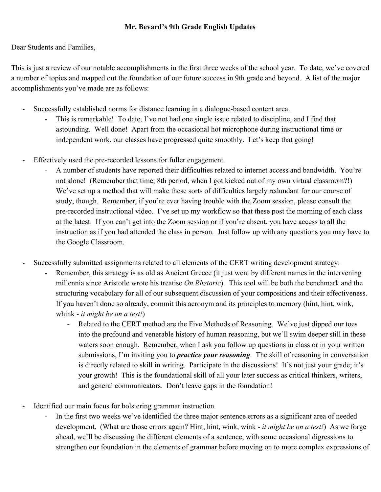## **Mr. Bevard's 9th Grade English Updates**

Dear Students and Families,

This is just a review of our notable accomplishments in the first three weeks of the school year. To date, we've covered a number of topics and mapped out the foundation of our future success in 9th grade and beyond. A list of the major accomplishments you've made are as follows:

- Successfully established norms for distance learning in a dialogue-based content area.
	- This is remarkable! To date, I've not had one single issue related to discipline, and I find that astounding. Well done! Apart from the occasional hot microphone during instructional time or independent work, our classes have progressed quite smoothly. Let's keep that going!
- Effectively used the pre-recorded lessons for fuller engagement.
	- A number of students have reported their difficulties related to internet access and bandwidth. You're not alone! (Remember that time, 8th period, when I got kicked out of my own virtual classroom?!) We've set up a method that will make these sorts of difficulties largely redundant for our course of study, though. Remember, if you're ever having trouble with the Zoom session, please consult the pre-recorded instructional video. I've set up my workflow so that these post the morning of each class at the latest. If you can't get into the Zoom session or if you're absent, you have access to all the instruction as if you had attended the class in person. Just follow up with any questions you may have to the Google Classroom.
- Successfully submitted assignments related to all elements of the CERT writing development strategy.
	- Remember, this strategy is as old as Ancient Greece (it just went by different names in the intervening millennia since Aristotle wrote his treatise *On Rhetoric*). This tool will be both the benchmark and the structuring vocabulary for all of our subsequent discussion of your compositions and their effectiveness. If you haven't done so already, commit this acronym and its principles to memory (hint, hint, wink, whink - *it might be on a test!*)
		- Related to the CERT method are the Five Methods of Reasoning. We've just dipped our toes into the profound and venerable history of human reasoning, but we'll swim deeper still in these waters soon enough. Remember, when I ask you follow up questions in class or in your written submissions, I'm inviting you to *practice your reasoning*. The skill of reasoning in conversation is directly related to skill in writing. Participate in the discussions! It's not just your grade; it's your growth! This is the foundational skill of all your later success as critical thinkers, writers, and general communicators. Don't leave gaps in the foundation!
- Identified our main focus for bolstering grammar instruction.
	- In the first two weeks we've identified the three major sentence errors as a significant area of needed development. (What are those errors again? Hint, hint, wink, wink - *it might be on a test!*) As we forge ahead, we'll be discussing the different elements of a sentence, with some occasional digressions to strengthen our foundation in the elements of grammar before moving on to more complex expressions of